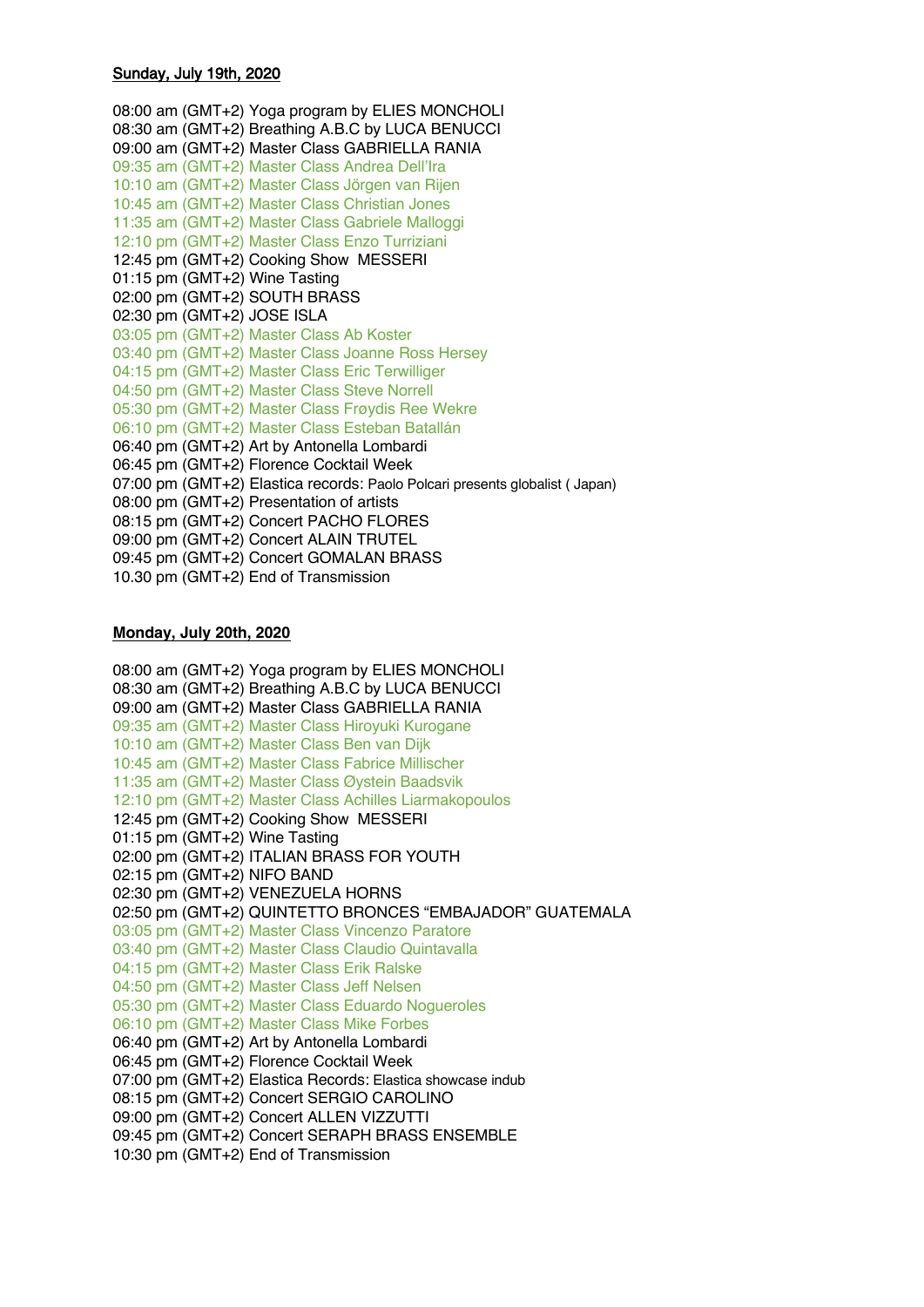## Sunday, July 19th, 2020

8:00 am (GMT+2) Yoga program by ELIES MONCHOLI 8:30 am (GMT+2) Breathing A.B.C by LUCA BENUCCI 09:00 am (GMT+2) Master Class GABRIELLA RANIA 09:35 am (GMT+2) Master Class Andrea Dell'Ira 0:10 am (GMT+2) Master Class Jörgen van Rijen 10:45 am (GMT+2) Master Class Christian Jones 11:35 am (GMT+2) Master Class Gabriele Malloggi 12:10 pm (GMT+2) Master Class Enzo Turriziani 12:45 pm (GMT+2) Cooking Show MESSERI 1:15 pm (GMT+2) Wine Tasting :00 pm (GMT+2) SOUTH BRASS :30 pm (GMT+2) JOSE ISLA :05 pm (GMT+2) Master Class Ab Koster :40 pm (GMT+2) Master Class Joanne Ross Hersey :15 pm (GMT+2) Master Class Eric Terwilliger :50 pm (GMT+2) Master Class Steve Norrell :30 pm (GMT+2) Master Class Frøydis Ree Wekre :10 pm (GMT+2) Master Class Esteban Batallán :40 pm (GMT+2) Art by Antonella Lombardi :45 pm (GMT+2) Florence Cocktail Week :00 pm (GMT+2) Elastica records: Paolo Polcari presents globalist ( Japan) :00 pm (GMT+2) Presentation of artists :15 pm (GMT+2) Concert PACHO FLORES :00 pm (GMT+2) Concert ALAIN TRUTEL :45 pm (GMT+2) Concert GOMALAN BRASS .30 pm (GMT+2) End of Transmission

### **Monday, July 20th, 2020**

8:00 am (GMT+2) Yoga program by ELIES MONCHOLI 8:30 am (GMT+2) Breathing A.B.C by LUCA BENUCCI 09:00 am (GMT+2) Master Class GABRIELLA RANIA 09:35 am (GMT+2) Master Class Hiroyuki Kurogane 10:10 am (GMT+2) Master Class Ben van Dijk 10:45 am (GMT+2) Master Class Fabrice Millischer 11:35 am (GMT+2) Master Class Øystein Baadsvik 12:10 pm (GMT+2) Master Class Achilles Liarmakopoulos 12:45 pm (GMT+2) Cooking Show MESSERI :15 pm (GMT+2) Wine Tasting :00 pm (GMT+2) ITALIAN BRASS FOR YOUTH :15 pm (GMT+2) NIFO BAND :30 pm (GMT+2) VENEZUELA HORNS :50 pm (GMT+2) QUINTETTO BRONCES "EMBAJADOR" GUATEMALA :05 pm (GMT+2) Master Class Vincenzo Paratore :40 pm (GMT+2) Master Class Claudio Quintavalla :15 pm (GMT+2) Master Class Erik Ralske :50 pm (GMT+2) Master Class Jeff Nelsen :30 pm (GMT+2) Master Class Eduardo Nogueroles :10 pm (GMT+2) Master Class Mike Forbes :40 pm (GMT+2) Art by Antonella Lombardi :45 pm (GMT+2) Florence Cocktail Week :00 pm (GMT+2) Elastica Records: Elastica showcase indub :15 pm (GMT+2) Concert SERGIO CAROLINO :00 pm (GMT+2) Concert ALLEN VIZZUTTI :45 pm (GMT+2) Concert SERAPH BRASS ENSEMBLE :30 pm (GMT+2) End of Transmission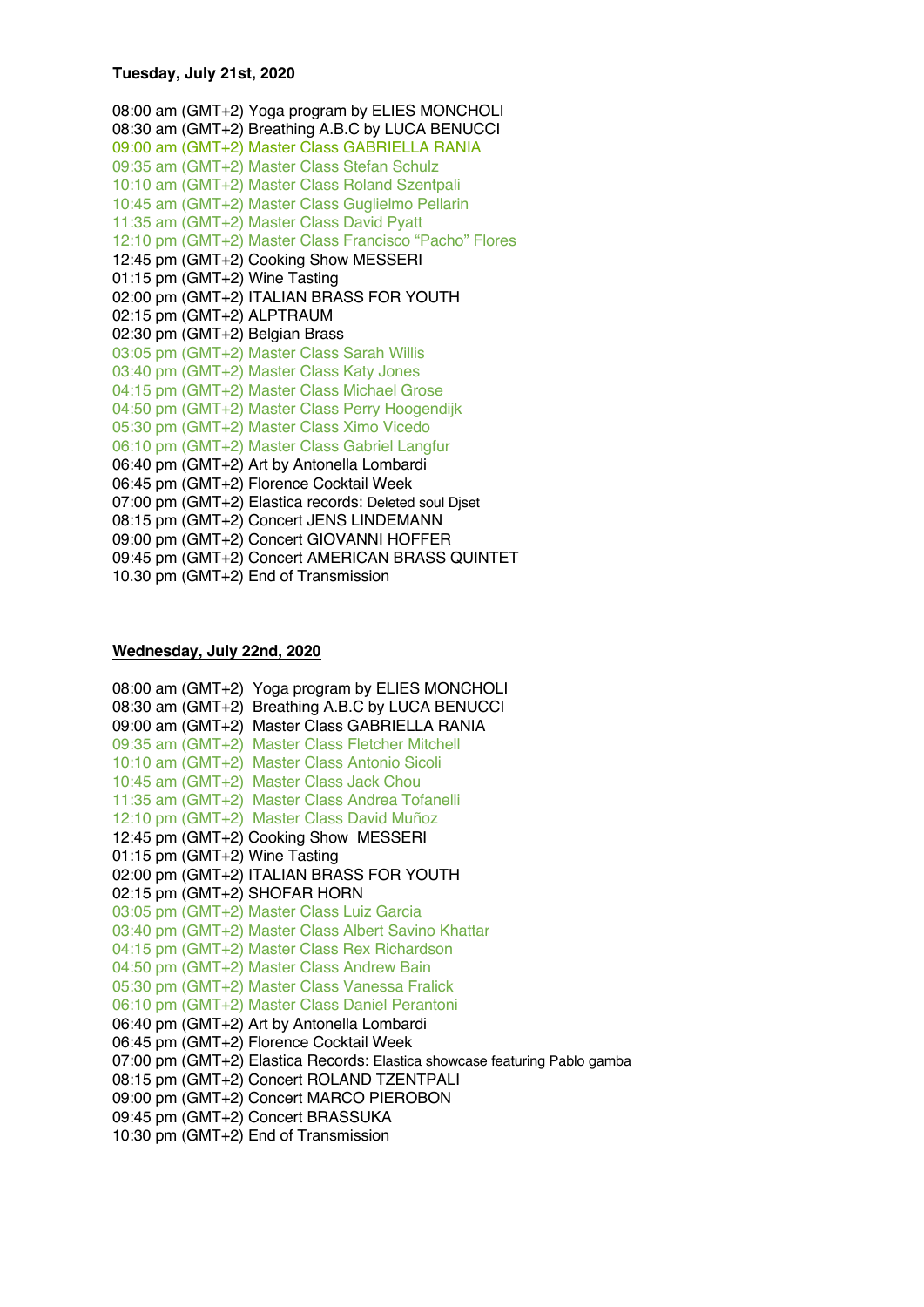## **Tuesday, July 21st, 2020**

8:00 am (GMT+2) Yoga program by ELIES MONCHOLI 8:30 am (GMT+2) Breathing A.B.C by LUCA BENUCCI 09:00 am (GMT+2) Master Class GABRIELLA RANIA 09:35 am (GMT+2) Master Class Stefan Schulz 10:10 am (GMT+2) Master Class Roland Szentpali 10:45 am (GMT+2) Master Class Guglielmo Pellarin 11:35 am (GMT+2) Master Class David Pyatt 12:10 pm (GMT+2) Master Class Francisco "Pacho" Flores 12:45 pm (GMT+2) Cooking Show MESSERI :15 pm (GMT+2) Wine Tasting :00 pm (GMT+2) ITALIAN BRASS FOR YOUTH :15 pm (GMT+2) ALPTRAUM :30 pm (GMT+2) Belgian Brass :05 pm (GMT+2) Master Class Sarah Willis :40 pm (GMT+2) Master Class Katy Jones :15 pm (GMT+2) Master Class Michael Grose :50 pm (GMT+2) Master Class Perry Hoogendijk :30 pm (GMT+2) Master Class Ximo Vicedo :10 pm (GMT+2) Master Class Gabriel Langfur :40 pm (GMT+2) Art by Antonella Lombardi :45 pm (GMT+2) Florence Cocktail Week :00 pm (GMT+2) Elastica records: Deleted soul Djset :15 pm (GMT+2) Concert JENS LINDEMANN :00 pm (GMT+2) Concert GIOVANNI HOFFER :45 pm (GMT+2) Concert AMERICAN BRASS QUINTET .30 pm (GMT+2) End of Transmission

#### **Wednesday, July 22nd, 2020**

8:00 am (GMT+2) Yoga program by ELIES MONCHOLI 8:30 am (GMT+2) Breathing A.B.C by LUCA BENUCCI 09:00 am (GMT+2) Master Class GABRIELLA RANIA 09:35 am (GMT+2) Master Class Fletcher Mitchell 10:10 am (GMT+2) Master Class Antonio Sicoli 10:45 am (GMT+2) Master Class Jack Chou 11:35 am (GMT+2) Master Class Andrea Tofanelli 12:10 pm (GMT+2) Master Class David Muñoz 12:45 pm (GMT+2) Cooking Show MESSERI :15 pm (GMT+2) Wine Tasting :00 pm (GMT+2) ITALIAN BRASS FOR YOUTH :15 pm (GMT+2) SHOFAR HORN :05 pm (GMT+2) Master Class Luiz Garcia :40 pm (GMT+2) Master Class Albert Savino Khattar :15 pm (GMT+2) Master Class Rex Richardson :50 pm (GMT+2) Master Class Andrew Bain :30 pm (GMT+2) Master Class Vanessa Fralick :10 pm (GMT+2) Master Class Daniel Perantoni :40 pm (GMT+2) Art by Antonella Lombardi :45 pm (GMT+2) Florence Cocktail Week :00 pm (GMT+2) Elastica Records: Elastica showcase featuring Pablo gamba :15 pm (GMT+2) Concert ROLAND TZENTPALI :00 pm (GMT+2) Concert MARCO PIEROBON :45 pm (GMT+2) Concert BRASSUKA 10:30 pm (GMT+2) End of Transmission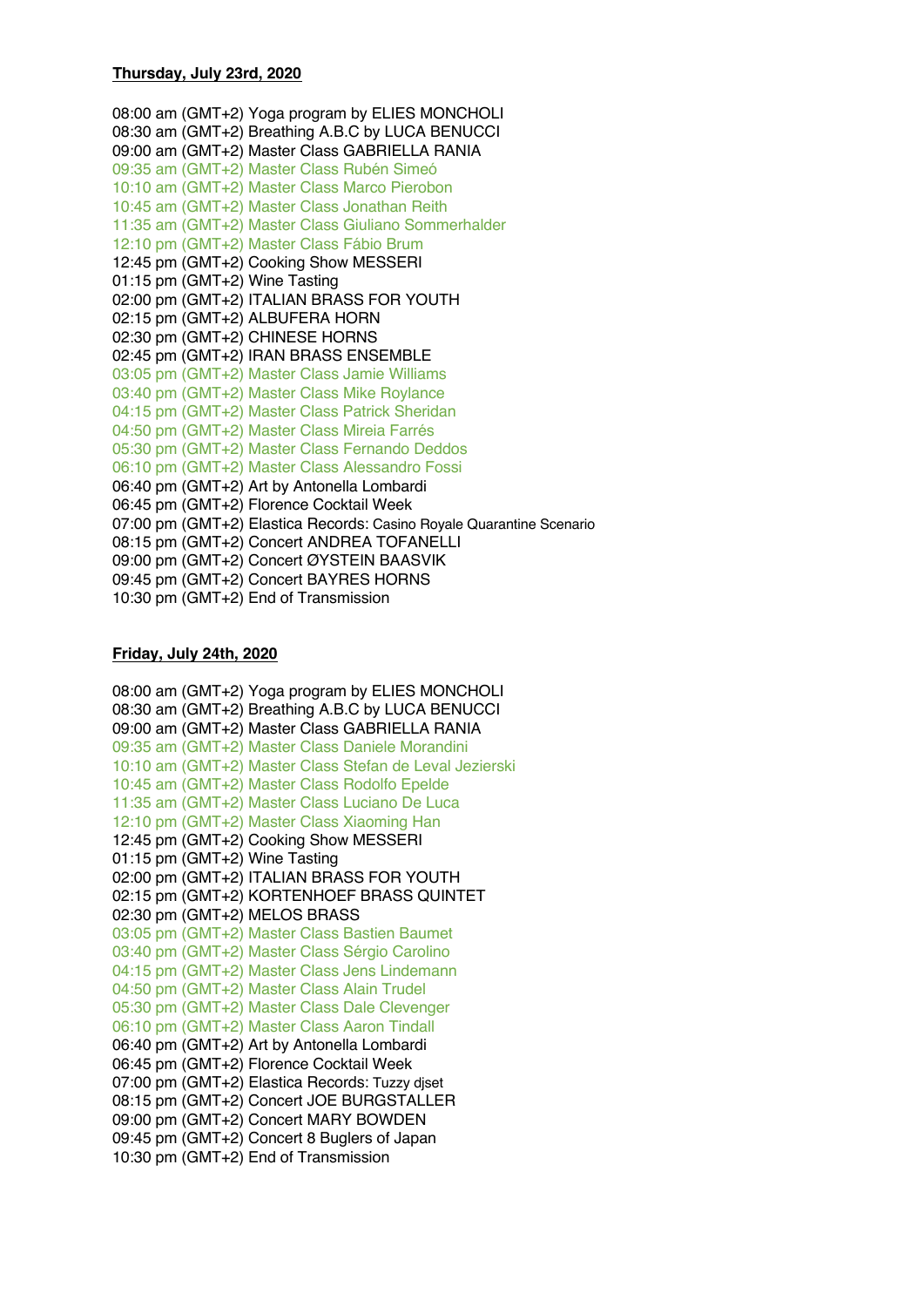#### **Thursday, July 23rd, 2020**

8:00 am (GMT+2) Yoga program by ELIES MONCHOLI 8:30 am (GMT+2) Breathing A.B.C by LUCA BENUCCI 09:00 am (GMT+2) Master Class GABRIELLA RANIA 09:35 am (GMT+2) Master Class Rubén Simeó 10:10 am (GMT+2) Master Class Marco Pierobon 10:45 am (GMT+2) Master Class Jonathan Reith 11:35 am (GMT+2) Master Class Giuliano Sommerhalder 12:10 pm (GMT+2) Master Class Fábio Brum 12:45 pm (GMT+2) Cooking Show MESSERI :15 pm (GMT+2) Wine Tasting :00 pm (GMT+2) ITALIAN BRASS FOR YOUTH :15 pm (GMT+2) ALBUFERA HORN :30 pm (GMT+2) CHINESE HORNS :45 pm (GMT+2) IRAN BRASS ENSEMBLE :05 pm (GMT+2) Master Class Jamie Williams :40 pm (GMT+2) Master Class Mike Roylance :15 pm (GMT+2) Master Class Patrick Sheridan :50 pm (GMT+2) Master Class Mireia Farrés :30 pm (GMT+2) Master Class Fernando Deddos :10 pm (GMT+2) Master Class Alessandro Fossi :40 pm (GMT+2) Art by Antonella Lombardi :45 pm (GMT+2) Florence Cocktail Week :00 pm (GMT+2) Elastica Records: Casino Royale Quarantine Scenario :15 pm (GMT+2) Concert ANDREA TOFANELLI :00 pm (GMT+2) Concert ØYSTEIN BAASVIK :45 pm (GMT+2) Concert BAYRES HORNS :30 pm (GMT+2) End of Transmission

# **Friday, July 24th, 2020**

8:00 am (GMT+2) Yoga program by ELIES MONCHOLI 8:30 am (GMT+2) Breathing A.B.C by LUCA BENUCCI 09:00 am (GMT+2) Master Class GABRIELLA RANIA 09:35 am (GMT+2) Master Class Daniele Morandini 10:10 am (GMT+2) Master Class Stefan de Leval Jezierski 10:45 am (GMT+2) Master Class Rodolfo Epelde 11:35 am (GMT+2) Master Class Luciano De Luca 12:10 pm (GMT+2) Master Class Xiaoming Han 12:45 pm (GMT+2) Cooking Show MESSERI :15 pm (GMT+2) Wine Tasting :00 pm (GMT+2) ITALIAN BRASS FOR YOUTH :15 pm (GMT+2) KORTENHOEF BRASS QUINTET :30 pm (GMT+2) MELOS BRASS :05 pm (GMT+2) Master Class Bastien Baumet :40 pm (GMT+2) Master Class Sérgio Carolino :15 pm (GMT+2) Master Class Jens Lindemann :50 pm (GMT+2) Master Class Alain Trudel :30 pm (GMT+2) Master Class Dale Clevenger :10 pm (GMT+2) Master Class Aaron Tindall :40 pm (GMT+2) Art by Antonella Lombardi :45 pm (GMT+2) Florence Cocktail Week :00 pm (GMT+2) Elastica Records: Tuzzy djset :15 pm (GMT+2) Concert JOE BURGSTALLER :00 pm (GMT+2) Concert MARY BOWDEN :45 pm (GMT+2) Concert 8 Buglers of Japan :30 pm (GMT+2) End of Transmission